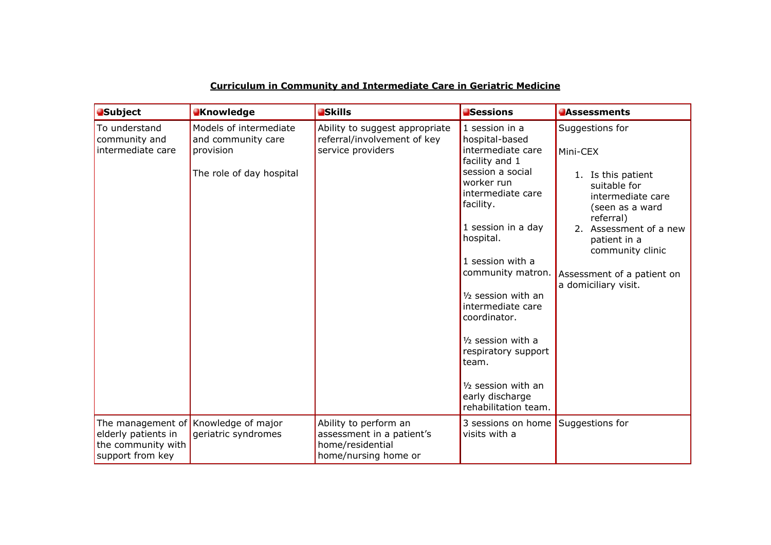|--|

| <b>Subject</b>                                                | <b>N</b> nowledge                                                                     | <b>Skills</b>                                                                                  | <b>Sessions</b>                                                                                                                                                                                                                                                                                                                                                                                             | <b>Assessments</b>                                                                                                                                                                                                                         |
|---------------------------------------------------------------|---------------------------------------------------------------------------------------|------------------------------------------------------------------------------------------------|-------------------------------------------------------------------------------------------------------------------------------------------------------------------------------------------------------------------------------------------------------------------------------------------------------------------------------------------------------------------------------------------------------------|--------------------------------------------------------------------------------------------------------------------------------------------------------------------------------------------------------------------------------------------|
| To understand<br>community and<br>intermediate care           | Models of intermediate<br>and community care<br>provision<br>The role of day hospital | Ability to suggest appropriate<br>referral/involvement of key<br>service providers             | 1 session in a<br>hospital-based<br>intermediate care<br>facility and 1<br>session a social<br>worker run<br>intermediate care<br>facility.<br>1 session in a day<br>hospital.<br>1 session with a<br>community matron.<br>1/2 session with an<br>intermediate care<br>coordinator.<br>1/2 session with a<br>respiratory support<br>team.<br>1/2 session with an<br>early discharge<br>rehabilitation team. | Suggestions for<br>Mini-CEX<br>1. Is this patient<br>suitable for<br>intermediate care<br>(seen as a ward<br>referral)<br>2. Assessment of a new<br>patient in a<br>community clinic<br>Assessment of a patient on<br>a domiciliary visit. |
| elderly patients in<br>the community with<br>support from key | The management of Knowledge of major<br>geriatric syndromes                           | Ability to perform an<br>assessment in a patient's<br>home/residential<br>home/nursing home or | 3 sessions on home Suggestions for<br>visits with a                                                                                                                                                                                                                                                                                                                                                         |                                                                                                                                                                                                                                            |